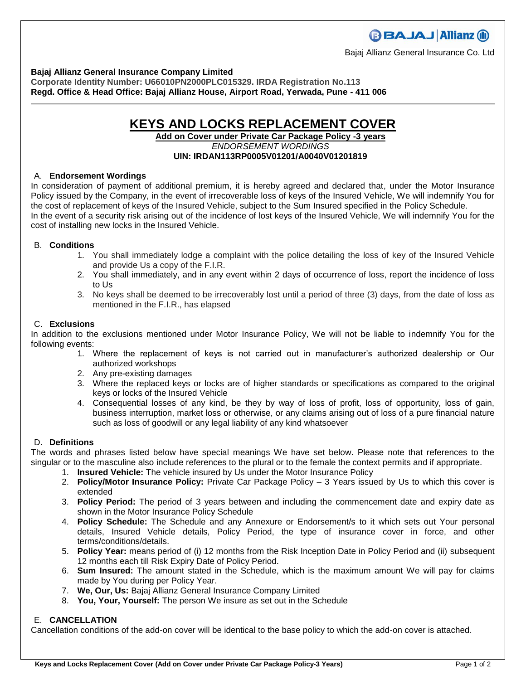Bajaj Allianz General Insurance Co. Ltd

**Bajaj Allianz General Insurance Company Limited**

**Corporate Identity Number: U66010PN2000PLC015329. IRDA Registration No.113 Regd. Office & Head Office: Bajaj Allianz House, Airport Road, Yerwada, Pune - 411 006**

## **KEYS AND LOCKS REPLACEMENT COVER**

**Add on Cover under Private Car Package Policy -3 years** *ENDORSEMENT WORDINGS* **UIN: IRDAN113RP0005V01201/A0040V01201819**

## A. **Endorsement Wordings**

In consideration of payment of additional premium, it is hereby agreed and declared that, under the Motor Insurance Policy issued by the Company, in the event of irrecoverable loss of keys of the Insured Vehicle, We will indemnify You for the cost of replacement of keys of the Insured Vehicle, subject to the Sum Insured specified in the Policy Schedule. In the event of a security risk arising out of the incidence of lost keys of the Insured Vehicle, We will indemnify You for the cost of installing new locks in the Insured Vehicle.

#### B. **Conditions**

- 1. You shall immediately lodge a complaint with the police detailing the loss of key of the Insured Vehicle and provide Us a copy of the F.I.R.
- 2. You shall immediately, and in any event within 2 days of occurrence of loss, report the incidence of loss to Us
- 3. No keys shall be deemed to be irrecoverably lost until a period of three (3) days, from the date of loss as mentioned in the F.I.R., has elapsed

#### C. **Exclusions**

In addition to the exclusions mentioned under Motor Insurance Policy, We will not be liable to indemnify You for the following events:

- 1. Where the replacement of keys is not carried out in manufacturer's authorized dealership or Our authorized workshops
- 2. Any pre-existing damages
- 3. Where the replaced keys or locks are of higher standards or specifications as compared to the original keys or locks of the Insured Vehicle
- 4. Consequential losses of any kind, be they by way of loss of profit, loss of opportunity, loss of gain, business interruption, market loss or otherwise, or any claims arising out of loss of a pure financial nature such as loss of goodwill or any legal liability of any kind whatsoever

## D. **Definitions**

The words and phrases listed below have special meanings We have set below. Please note that references to the singular or to the masculine also include references to the plural or to the female the context permits and if appropriate.

- 1. **Insured Vehicle:** The vehicle insured by Us under the Motor Insurance Policy
- 2. **Policy/Motor Insurance Policy:** Private Car Package Policy 3 Years issued by Us to which this cover is extended
- 3. **Policy Period:** The period of 3 years between and including the commencement date and expiry date as shown in the Motor Insurance Policy Schedule
- 4. **Policy Schedule:** The Schedule and any Annexure or Endorsement/s to it which sets out Your personal details, Insured Vehicle details, Policy Period, the type of insurance cover in force, and other terms/conditions/details.
- 5. **Policy Year:** means period of (i) 12 months from the Risk Inception Date in Policy Period and (ii) subsequent 12 months each till Risk Expiry Date of Policy Period.
- 6. **Sum Insured:** The amount stated in the Schedule, which is the maximum amount We will pay for claims made by You during per Policy Year.
- 7. **We, Our, Us:** Bajaj Allianz General Insurance Company Limited
- 8. **You, Your, Yourself:** The person We insure as set out in the Schedule

## E. **CANCELLATION**

Cancellation conditions of the add-on cover will be identical to the base policy to which the add-on cover is attached.